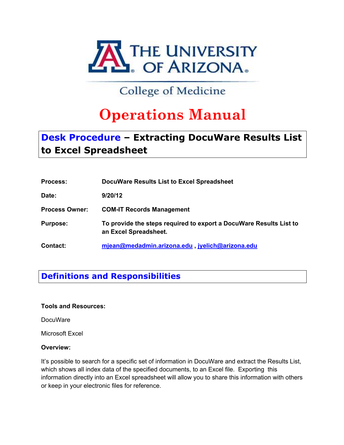

# **to Excel Spreadsheet**

| <b>Process:</b>       | DocuWare Results List to Excel Spreadsheet                                                  |
|-----------------------|---------------------------------------------------------------------------------------------|
| Date:                 | 9/20/12                                                                                     |
| <b>Process Owner:</b> | <b>COM-IT Records Management</b>                                                            |
| <b>Purpose:</b>       | To provide the steps required to export a DocuWare Results List to<br>an Excel Spreadsheet. |
| <b>Contact:</b>       | miean@medadmin.arizona.edu, jvelich@arizona.edu                                             |

## **Definitions and Responsibilities**

**Tools and Resources:**

**DocuWare** 

Microsoft Excel

### **Overview:**

It's possible to search for a specific set of information in DocuWare and extract the Results List, which shows all index data of the specified documents, to an Excel file. Exporting this information directly into an Excel spreadsheet will allow you to share this information with others or keep in your electronic files for reference.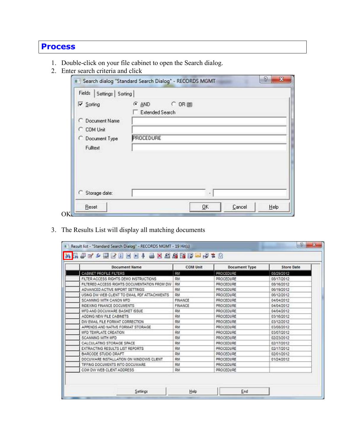## **Process**

- 1. Double-click on your file cabinet to open the Search dialog.
- 2. Enter search criteria and click

| Fields   Settings   Sorting |                                                     |
|-----------------------------|-----------------------------------------------------|
| <b>Ⅳ</b> Sorting            | $C$ $\triangle$ ND<br>$C$ OR (H)<br>Extended Search |
| C Document Name             |                                                     |
| COM Unit                    |                                                     |
| C Document Type             | PROCEDURE                                           |
| Fultext                     |                                                     |
|                             |                                                     |
|                             | ٠                                                   |

3. The Results List will display all matching documents

| <b>Document Name</b>                         | <b>COM Unit</b> | <b>Document Type</b> | <b>Store Date</b> |  |
|----------------------------------------------|-----------------|----------------------|-------------------|--|
| <b>CABNET PROFLE FILTERS</b>                 | RM              | PROCEDURE            | 08/29/2012        |  |
| FILTER ACCESS RIGHTS DEMO INSTRUCTIONS       | RM              | PROCEDURE            | 08/17/2012        |  |
| FILTERED ACCESS RIGHTS DOCUMENTATION FROM DW | RM              | PROCEDURE            | 08/16/2012        |  |
| ADVANCED ACTIVE IMPORT SETTINGS              | RM              | PROCEDURE            | 06/19/2012        |  |
| USING DW WEB CLIENT TO EMAIL PDF ATTACHMENTS | RM              | PROCEDURE            | 06/12/2012        |  |
| SCANNING WITH CANON MFD                      | FINANCE         | PROCEDURE            | 04/04/2012        |  |
| INDEXING FINANCE DOCUMENTS                   | FINANCE         | PROCEDURE            | 04/04/2012        |  |
| MFD AND DOCUWARE BASKET ISSUE                | RM              | PROCEDURE            | 04/04/2012        |  |
| ADDNG NEW FILE CABNETS                       | RM              | PROCEDURE            | 03/16/2012        |  |
| DW EMAIL FILE FORMAT CORRECTION              | RM              | PROCEDURE            | 03/12/2012        |  |
| APPENDS AND NATIVE FORMAT STORAGE            | RM              | PROCEDURE            | 03/08/2012        |  |
| MFD TEMPLATE CREATION                        | RM              | PROCEDURE            | 03/07/2012        |  |
| <b>SCANNING WITH MFD</b>                     | RM              | PROCEDURE            | 02/23/2012        |  |
| CALCULATING STORAGE SPACE                    | RM              | PROCEDURE            | 02/17/2012        |  |
| EXTRACTING RESULTS LIST REPORTS              | RM              | PROCEDURE            | 02/17/2012        |  |
| BARCODE STUDIO DRAFT                         | RM              | PROCEDURE            | 02/01/2012        |  |
| DOCUWARE INSTALLATION ON WINDOWS CLIENT.     | RM              | PROCEDURE            | 01/24/2012        |  |
| TIFFING DOCUMENTS INTO DOCUWARE              | RM              | PROCEDURE            |                   |  |
| COM DW WEB CLENT ADDRESS                     | RM              | PROCEDURE            |                   |  |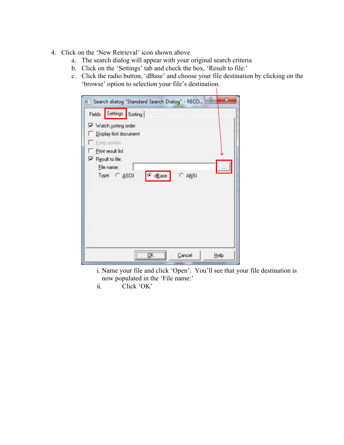- 4. Click on the 'New Retrieval' icon shown above
	- a. The search dialog will appear with your original search criteria
	- b. Click on the 'Settings' tab and check the box, 'Result to file:'
	- c. Click the radio button, 'dBase' and choose your file destination by clicking on the 'browse' option to selection your file's destination.  $\mathbf{I}$

|        |                                                                                                                                                                       | Search dialog "Standard Search Dialog" - RECO |          | P | x    |
|--------|-----------------------------------------------------------------------------------------------------------------------------------------------------------------------|-----------------------------------------------|----------|---|------|
| Fields | Settings Sorting<br>V Watch sorting order<br>Display first document<br>E Keep entries<br>Print result list<br>$\nabla$ Result to file:<br>Elle name:<br>Type: C ASCII | dBase                                         | $C$ ANSI |   |      |
|        |                                                                                                                                                                       | $\sim$ $\alpha$                               | Cancel   |   | Help |

- i. Name your file and click 'Open'. You'll see that your file destination is now populated in the 'File name:'
- ii. Click 'OK'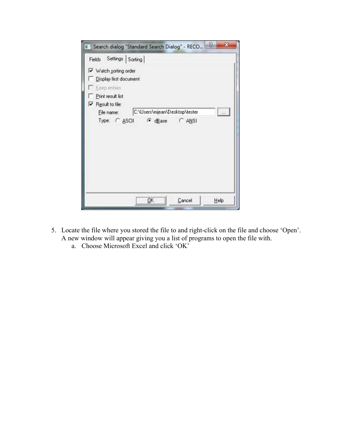| Search dialog "Standard Search Dialog" - RECO                                              |                               |        | х        |
|--------------------------------------------------------------------------------------------|-------------------------------|--------|----------|
| Fields Settings Sorting<br>V Watch sorting order<br>Display first document<br>Keep entries |                               |        |          |
| Print result list<br>$\nabla$ Result to file:                                              |                               |        |          |
| Ele name:<br>Type: C ASCII F dBase C ANSI                                                  | C:\Users\mjean\Desktop\tester |        | $\cdots$ |
|                                                                                            | OK                            | Cancel | Help     |

- 5. Locate the file where you stored the file to and right-click on the file and choose 'Open'. A new window will appear giving you a list of programs to open the file with.
	- a. Choose Microsoft Excel and click 'OK'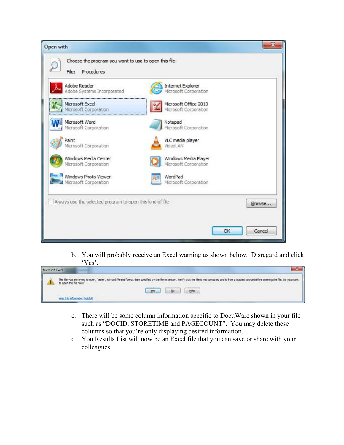

b. You will probably receive an Excel warning as shown below. Disregard and click 'Yes'.

| The file you are trying to open, 'tester', is in a different format than specified by the file extension, menty that the file is not comupted and is from a trusted source before opening the file. Do you want.<br>As ones the file now?<br><u> 11 MAI 11 MARA 2008 DE ASSAMANTENTE DE MATEIX ANALYSIS A MATEIX A DE MATEIX A DE MATEIX DE MATEIX A DE MATEIX</u> |
|--------------------------------------------------------------------------------------------------------------------------------------------------------------------------------------------------------------------------------------------------------------------------------------------------------------------------------------------------------------------|
|                                                                                                                                                                                                                                                                                                                                                                    |
| the company's company's the                                                                                                                                                                                                                                                                                                                                        |

- c. There will be some column information specific to DocuWare shown in your file such as "DOCID, STORETIME and PAGECOUNT". You may delete these columns so that you're only displaying desired information.
- d. You Results List will now be an Excel file that you can save or share with your colleagues.